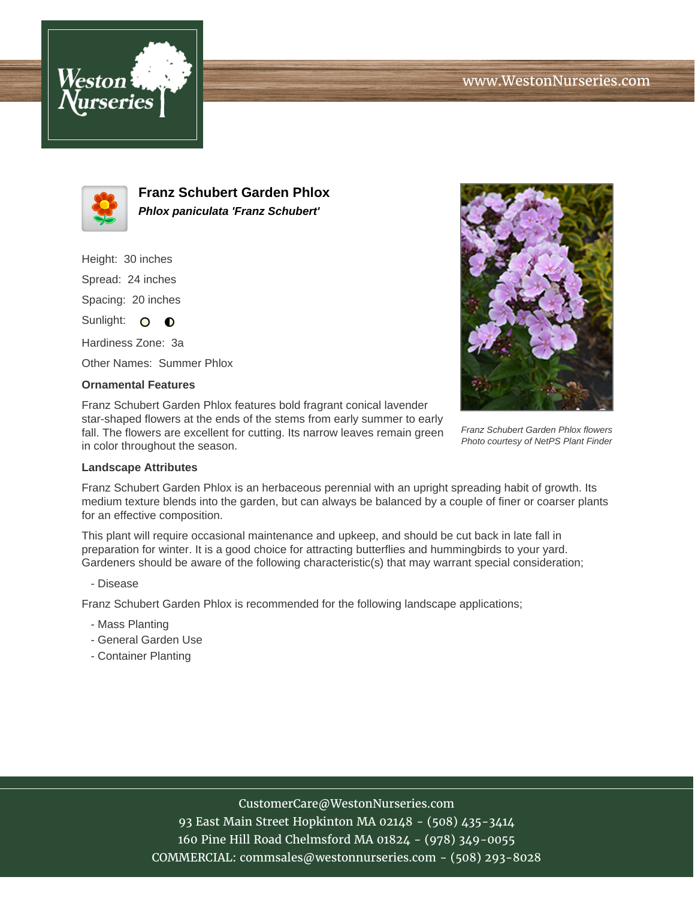



**Franz Schubert Garden Phlox Phlox paniculata 'Franz Schubert'**

Height: 30 inches Spread: 24 inches Spacing: 20 inches

Sunlight: O **O** 

Hardiness Zone: 3a

Other Names: Summer Phlox

## **Ornamental Features**

Franz Schubert Garden Phlox features bold fragrant conical lavender star-shaped flowers at the ends of the stems from early summer to early fall. The flowers are excellent for cutting. Its narrow leaves remain green in color throughout the season.



Franz Schubert Garden Phlox flowers Photo courtesy of NetPS Plant Finder

## **Landscape Attributes**

Franz Schubert Garden Phlox is an herbaceous perennial with an upright spreading habit of growth. Its medium texture blends into the garden, but can always be balanced by a couple of finer or coarser plants for an effective composition.

This plant will require occasional maintenance and upkeep, and should be cut back in late fall in preparation for winter. It is a good choice for attracting butterflies and hummingbirds to your yard. Gardeners should be aware of the following characteristic(s) that may warrant special consideration;

- Disease

Franz Schubert Garden Phlox is recommended for the following landscape applications;

- Mass Planting
- General Garden Use
- Container Planting

## CustomerCare@WestonNurseries.com

93 East Main Street Hopkinton MA 02148 - (508) 435-3414 160 Pine Hill Road Chelmsford MA 01824 - (978) 349-0055 COMMERCIAL: commsales@westonnurseries.com - (508) 293-8028